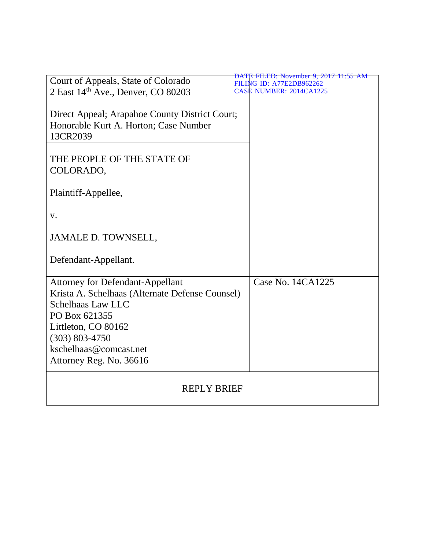| Court of Appeals, State of Colorado             | <u> DATE FILED: November 9, 2017 11:55 AM</u><br><b>FILING ID: A77E2DB962262</b> |
|-------------------------------------------------|----------------------------------------------------------------------------------|
| 2 East 14th Ave., Denver, CO 80203              | <b>CASE NUMBER: 2014CA1225</b>                                                   |
|                                                 |                                                                                  |
| Direct Appeal; Arapahoe County District Court;  |                                                                                  |
| Honorable Kurt A. Horton; Case Number           |                                                                                  |
| 13CR2039                                        |                                                                                  |
|                                                 |                                                                                  |
| THE PEOPLE OF THE STATE OF                      |                                                                                  |
|                                                 |                                                                                  |
| COLORADO,                                       |                                                                                  |
|                                                 |                                                                                  |
| Plaintiff-Appellee,                             |                                                                                  |
|                                                 |                                                                                  |
| V.                                              |                                                                                  |
|                                                 |                                                                                  |
| JAMALE D. TOWNSELL,                             |                                                                                  |
|                                                 |                                                                                  |
| Defendant-Appellant.                            |                                                                                  |
|                                                 |                                                                                  |
| <b>Attorney for Defendant-Appellant</b>         | Case No. 14CA1225                                                                |
| Krista A. Schelhaas (Alternate Defense Counsel) |                                                                                  |
| <b>Schelhaas Law LLC</b>                        |                                                                                  |
| PO Box 621355                                   |                                                                                  |
| Littleton, CO 80162                             |                                                                                  |
| $(303) 803 - 4750$                              |                                                                                  |
| kschelhaas@comcast.net                          |                                                                                  |
| Attorney Reg. No. 36616                         |                                                                                  |
|                                                 |                                                                                  |
|                                                 |                                                                                  |
| <b>REPLY BRIEF</b>                              |                                                                                  |
|                                                 |                                                                                  |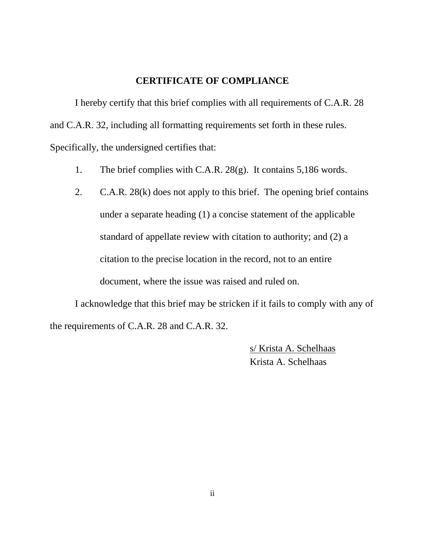### **CERTIFICATE OF COMPLIANCE**

I hereby certify that this brief complies with all requirements of C.A.R. 28 and C.A.R. 32, including all formatting requirements set forth in these rules. Specifically, the undersigned certifies that:

- 1. The brief complies with C.A.R. 28(g). It contains 5,186 words.
- 2. C.A.R. 28(k) does not apply to this brief. The opening brief contains under a separate heading (1) a concise statement of the applicable standard of appellate review with citation to authority; and (2) a citation to the precise location in the record, not to an entire document, where the issue was raised and ruled on.

I acknowledge that this brief may be stricken if it fails to comply with any of the requirements of C.A.R. 28 and C.A.R. 32.

> s/ Krista A. Schelhaas Krista A. Schelhaas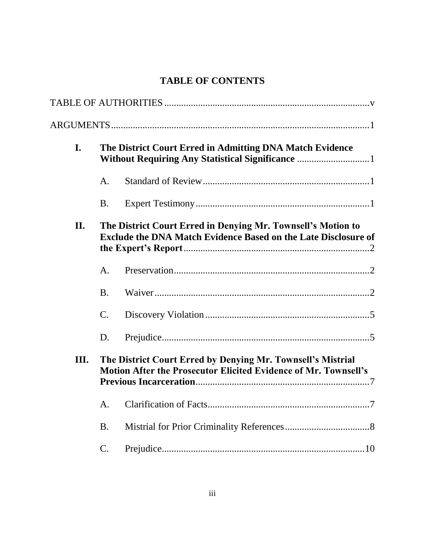### **TABLE OF CONTENTS**

| I.  |                 | The District Court Erred in Admitting DNA Match Evidence                                                                              |  |  |
|-----|-----------------|---------------------------------------------------------------------------------------------------------------------------------------|--|--|
|     | A.              |                                                                                                                                       |  |  |
|     | <b>B.</b>       |                                                                                                                                       |  |  |
| II. |                 | The District Court Erred in Denying Mr. Townsell's Motion to<br><b>Exclude the DNA Match Evidence Based on the Late Disclosure of</b> |  |  |
|     | A.              |                                                                                                                                       |  |  |
|     | $\mathbf{B}$ .  |                                                                                                                                       |  |  |
|     | $\mathcal{C}$ . |                                                                                                                                       |  |  |
|     | D.              |                                                                                                                                       |  |  |
| Ш.  |                 | The District Court Erred by Denying Mr. Townsell's Mistrial<br>Motion After the Prosecutor Elicited Evidence of Mr. Townsell's        |  |  |
|     | A.              |                                                                                                                                       |  |  |
|     | <b>B.</b>       |                                                                                                                                       |  |  |
|     | $\mathbf{C}$ .  |                                                                                                                                       |  |  |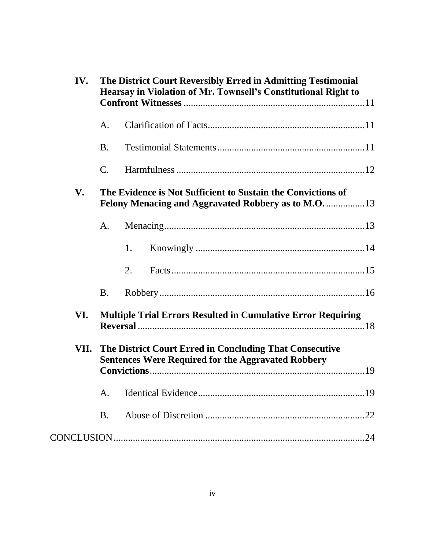| IV.  |                | The District Court Reversibly Erred in Admitting Testimonial<br>Hearsay in Violation of Mr. Townsell's Constitutional Right to |  |  |
|------|----------------|--------------------------------------------------------------------------------------------------------------------------------|--|--|
|      | А.             |                                                                                                                                |  |  |
|      | <b>B.</b>      |                                                                                                                                |  |  |
|      | $\mathsf{C}.$  |                                                                                                                                |  |  |
| V.   |                | The Evidence is Not Sufficient to Sustain the Convictions of                                                                   |  |  |
|      | A.             |                                                                                                                                |  |  |
|      |                | 1.                                                                                                                             |  |  |
|      |                | 2.                                                                                                                             |  |  |
|      | <b>B.</b>      |                                                                                                                                |  |  |
| VI.  |                | <b>Multiple Trial Errors Resulted in Cumulative Error Requiring</b>                                                            |  |  |
| VII. |                | The District Court Erred in Concluding That Consecutive<br><b>Sentences Were Required for the Aggravated Robbery</b>           |  |  |
|      | A <sub>1</sub> |                                                                                                                                |  |  |
|      | <b>B.</b>      |                                                                                                                                |  |  |
|      |                |                                                                                                                                |  |  |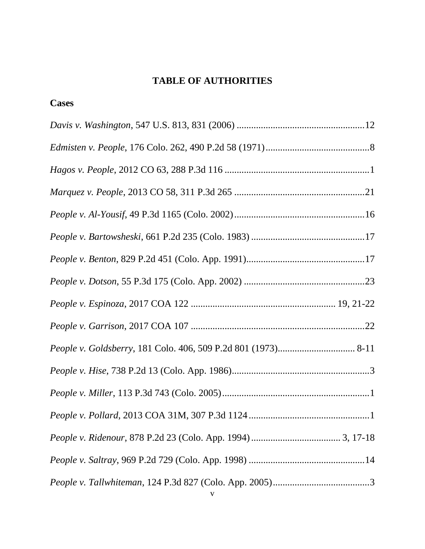### **TABLE OF AUTHORITIES**

**Cases**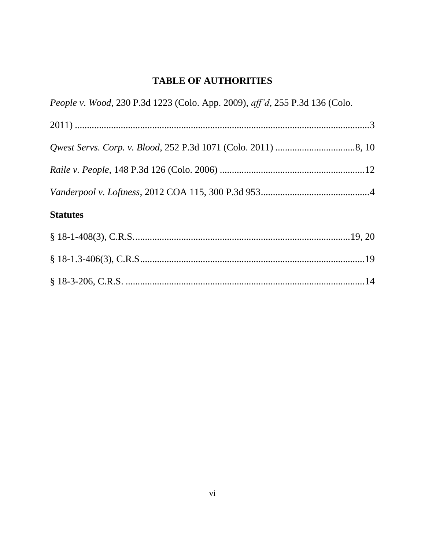### **TABLE OF AUTHORITIES**

| People v. Wood, 230 P.3d 1223 (Colo. App. 2009), aff'd, 255 P.3d 136 (Colo. |
|-----------------------------------------------------------------------------|
|                                                                             |
|                                                                             |
|                                                                             |
|                                                                             |
| <b>Statutes</b>                                                             |
|                                                                             |
|                                                                             |
|                                                                             |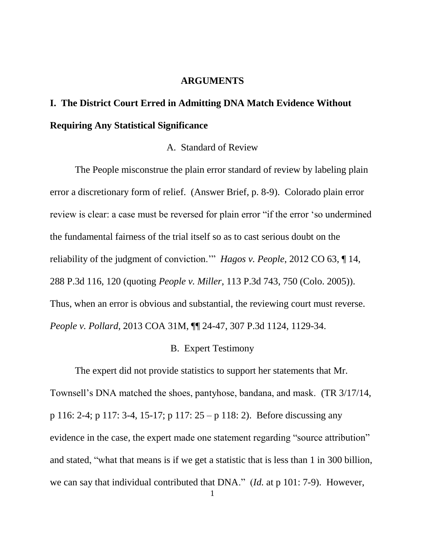### **ARGUMENTS**

## **I. The District Court Erred in Admitting DNA Match Evidence Without Requiring Any Statistical Significance**

### A. Standard of Review

The People misconstrue the plain error standard of review by labeling plain error a discretionary form of relief. (Answer Brief, p. 8-9). Colorado plain error review is clear: a case must be reversed for plain error "if the error 'so undermined the fundamental fairness of the trial itself so as to cast serious doubt on the reliability of the judgment of conviction.'" *Hagos v. People*, 2012 CO 63, ¶ 14, 288 P.3d 116, 120 (quoting *People v. Miller*, 113 P.3d 743, 750 (Colo. 2005)). Thus, when an error is obvious and substantial, the reviewing court must reverse. *People v. Pollard*, 2013 COA 31M, ¶¶ 24-47, 307 P.3d 1124, 1129-34.

#### B. Expert Testimony

The expert did not provide statistics to support her statements that Mr. Townsell's DNA matched the shoes, pantyhose, bandana, and mask. (TR 3/17/14, p 116: 2-4; p 117: 3-4, 15-17; p 117: 25 – p 118: 2). Before discussing any evidence in the case, the expert made one statement regarding "source attribution" and stated, "what that means is if we get a statistic that is less than 1 in 300 billion, we can say that individual contributed that DNA." (*Id.* at p 101: 7-9). However,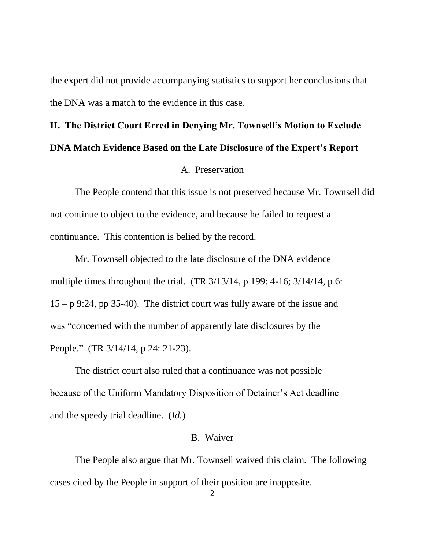the expert did not provide accompanying statistics to support her conclusions that the DNA was a match to the evidence in this case.

# **II. The District Court Erred in Denying Mr. Townsell's Motion to Exclude DNA Match Evidence Based on the Late Disclosure of the Expert's Report**

#### A. Preservation

The People contend that this issue is not preserved because Mr. Townsell did not continue to object to the evidence, and because he failed to request a continuance. This contention is belied by the record.

Mr. Townsell objected to the late disclosure of the DNA evidence multiple times throughout the trial. (TR 3/13/14, p 199: 4-16; 3/14/14, p 6:  $15 - p$  9:24, pp 35-40). The district court was fully aware of the issue and was "concerned with the number of apparently late disclosures by the People." (TR 3/14/14, p 24: 21-23).

The district court also ruled that a continuance was not possible because of the Uniform Mandatory Disposition of Detainer's Act deadline and the speedy trial deadline. (*Id.*)

### B. Waiver

The People also argue that Mr. Townsell waived this claim. The following cases cited by the People in support of their position are inapposite.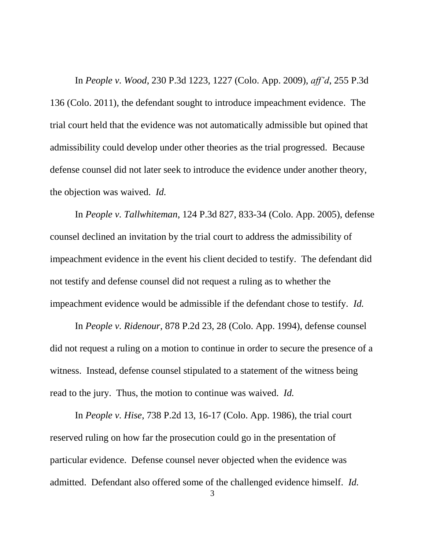In *People v. Wood*, 230 P.3d 1223, 1227 (Colo. App. 2009), *aff'd*, 255 P.3d 136 (Colo. 2011), the defendant sought to introduce impeachment evidence. The trial court held that the evidence was not automatically admissible but opined that admissibility could develop under other theories as the trial progressed. Because defense counsel did not later seek to introduce the evidence under another theory, the objection was waived. *Id.*

In *People v. Tallwhiteman*, 124 P.3d 827, 833-34 (Colo. App. 2005), defense counsel declined an invitation by the trial court to address the admissibility of impeachment evidence in the event his client decided to testify. The defendant did not testify and defense counsel did not request a ruling as to whether the impeachment evidence would be admissible if the defendant chose to testify. *Id.*

In *People v. Ridenour*, 878 P.2d 23, 28 (Colo. App. 1994), defense counsel did not request a ruling on a motion to continue in order to secure the presence of a witness. Instead, defense counsel stipulated to a statement of the witness being read to the jury. Thus, the motion to continue was waived. *Id.*

In *People v. Hise*, 738 P.2d 13, 16-17 (Colo. App. 1986), the trial court reserved ruling on how far the prosecution could go in the presentation of particular evidence. Defense counsel never objected when the evidence was admitted. Defendant also offered some of the challenged evidence himself. *Id.*

<sup>3</sup>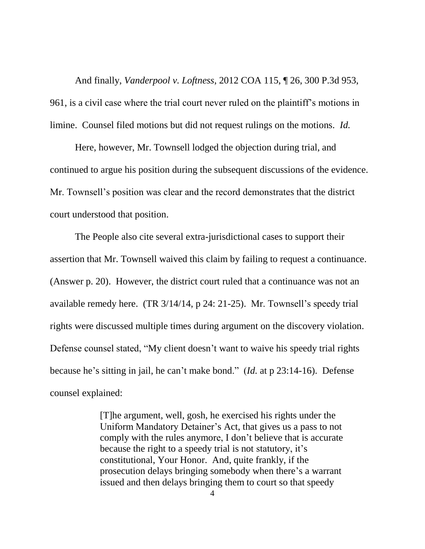And finally, *Vanderpool v. Loftness*, 2012 COA 115, ¶ 26, 300 P.3d 953, 961, is a civil case where the trial court never ruled on the plaintiff's motions in limine. Counsel filed motions but did not request rulings on the motions. *Id.*

Here, however, Mr. Townsell lodged the objection during trial, and continued to argue his position during the subsequent discussions of the evidence. Mr. Townsell's position was clear and the record demonstrates that the district court understood that position.

The People also cite several extra-jurisdictional cases to support their assertion that Mr. Townsell waived this claim by failing to request a continuance. (Answer p. 20). However, the district court ruled that a continuance was not an available remedy here. (TR 3/14/14, p 24: 21-25). Mr. Townsell's speedy trial rights were discussed multiple times during argument on the discovery violation. Defense counsel stated, "My client doesn't want to waive his speedy trial rights because he's sitting in jail, he can't make bond." (*Id.* at p 23:14-16). Defense counsel explained:

> [T]he argument, well, gosh, he exercised his rights under the Uniform Mandatory Detainer's Act, that gives us a pass to not comply with the rules anymore, I don't believe that is accurate because the right to a speedy trial is not statutory, it's constitutional, Your Honor. And, quite frankly, if the prosecution delays bringing somebody when there's a warrant issued and then delays bringing them to court so that speedy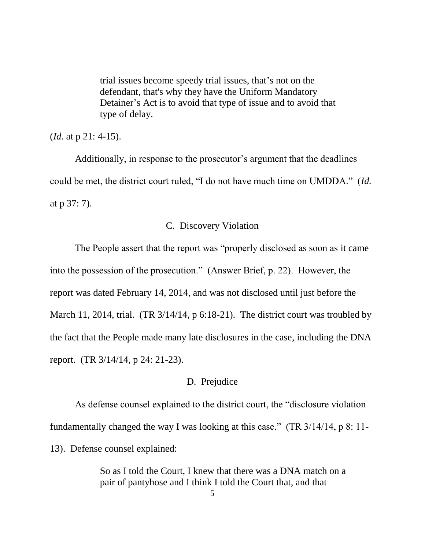trial issues become speedy trial issues, that's not on the defendant, that's why they have the Uniform Mandatory Detainer's Act is to avoid that type of issue and to avoid that type of delay.

(*Id.* at p 21: 4-15).

Additionally, in response to the prosecutor's argument that the deadlines could be met, the district court ruled, "I do not have much time on UMDDA." (*Id.* at p 37: 7).

### C. Discovery Violation

The People assert that the report was "properly disclosed as soon as it came into the possession of the prosecution." (Answer Brief, p. 22). However, the report was dated February 14, 2014, and was not disclosed until just before the March 11, 2014, trial. (TR 3/14/14, p 6:18-21). The district court was troubled by the fact that the People made many late disclosures in the case, including the DNA report. (TR 3/14/14, p 24: 21-23).

### D. Prejudice

As defense counsel explained to the district court, the "disclosure violation fundamentally changed the way I was looking at this case." (TR 3/14/14, p 8: 11- 13). Defense counsel explained:

> So as I told the Court, I knew that there was a DNA match on a pair of pantyhose and I think I told the Court that, and that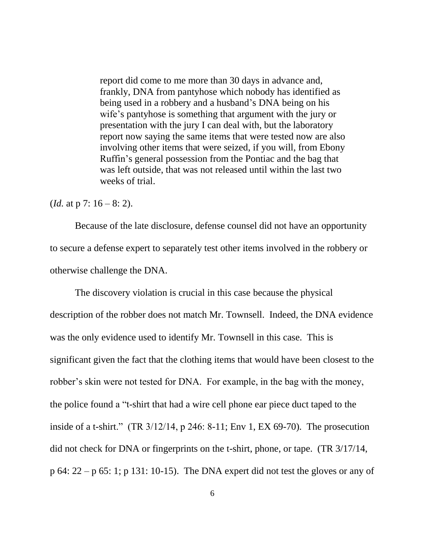report did come to me more than 30 days in advance and, frankly, DNA from pantyhose which nobody has identified as being used in a robbery and a husband's DNA being on his wife's pantyhose is something that argument with the jury or presentation with the jury I can deal with, but the laboratory report now saying the same items that were tested now are also involving other items that were seized, if you will, from Ebony Ruffin's general possession from the Pontiac and the bag that was left outside, that was not released until within the last two weeks of trial.

(*Id.* at p 7: 16 – 8: 2).

Because of the late disclosure, defense counsel did not have an opportunity to secure a defense expert to separately test other items involved in the robbery or otherwise challenge the DNA.

The discovery violation is crucial in this case because the physical description of the robber does not match Mr. Townsell. Indeed, the DNA evidence was the only evidence used to identify Mr. Townsell in this case. This is significant given the fact that the clothing items that would have been closest to the robber's skin were not tested for DNA. For example, in the bag with the money, the police found a "t-shirt that had a wire cell phone ear piece duct taped to the inside of a t-shirt." (TR 3/12/14, p 246: 8-11; Env 1, EX 69-70). The prosecution did not check for DNA or fingerprints on the t-shirt, phone, or tape. (TR 3/17/14, p 64: 22 – p 65: 1; p 131: 10-15). The DNA expert did not test the gloves or any of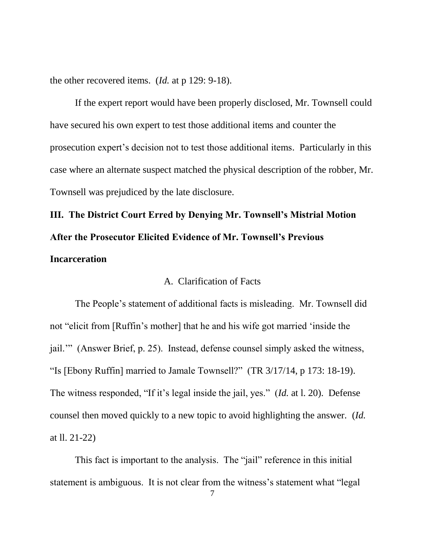the other recovered items. (*Id.* at p 129: 9-18).

If the expert report would have been properly disclosed, Mr. Townsell could have secured his own expert to test those additional items and counter the prosecution expert's decision not to test those additional items. Particularly in this case where an alternate suspect matched the physical description of the robber, Mr. Townsell was prejudiced by the late disclosure.

# **III. The District Court Erred by Denying Mr. Townsell's Mistrial Motion After the Prosecutor Elicited Evidence of Mr. Townsell's Previous Incarceration**

### A. Clarification of Facts

The People's statement of additional facts is misleading. Mr. Townsell did not "elicit from [Ruffin's mother] that he and his wife got married 'inside the jail.'" (Answer Brief, p. 25). Instead, defense counsel simply asked the witness, "Is [Ebony Ruffin] married to Jamale Townsell?" (TR 3/17/14, p 173: 18-19). The witness responded, "If it's legal inside the jail, yes." (*Id.* at l. 20). Defense counsel then moved quickly to a new topic to avoid highlighting the answer. (*Id.* at ll. 21-22)

This fact is important to the analysis. The "jail" reference in this initial statement is ambiguous. It is not clear from the witness's statement what "legal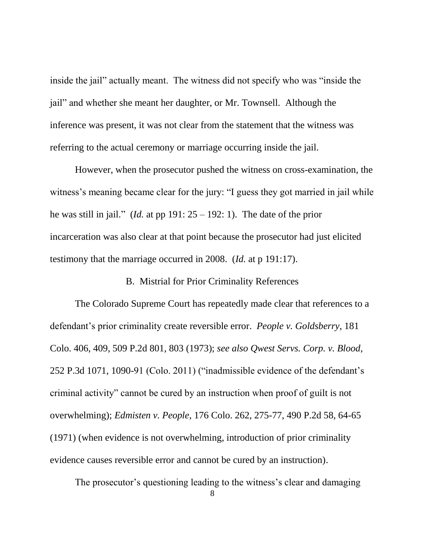inside the jail" actually meant. The witness did not specify who was "inside the jail" and whether she meant her daughter, or Mr. Townsell. Although the inference was present, it was not clear from the statement that the witness was referring to the actual ceremony or marriage occurring inside the jail.

However, when the prosecutor pushed the witness on cross-examination, the witness's meaning became clear for the jury: "I guess they got married in jail while he was still in jail." (*Id.* at pp 191:  $25 - 192$ : 1). The date of the prior incarceration was also clear at that point because the prosecutor had just elicited testimony that the marriage occurred in 2008. (*Id.* at p 191:17).

#### B. Mistrial for Prior Criminality References

The Colorado Supreme Court has repeatedly made clear that references to a defendant's prior criminality create reversible error. *People v. Goldsberry*, 181 Colo. 406, 409, 509 P.2d 801, 803 (1973); *see also Qwest Servs. Corp. v. Blood*, 252 P.3d 1071, 1090-91 (Colo. 2011) ("inadmissible evidence of the defendant's criminal activity" cannot be cured by an instruction when proof of guilt is not overwhelming); *Edmisten v. People*, 176 Colo. 262, 275-77, 490 P.2d 58, 64-65 (1971) (when evidence is not overwhelming, introduction of prior criminality evidence causes reversible error and cannot be cured by an instruction).

The prosecutor's questioning leading to the witness's clear and damaging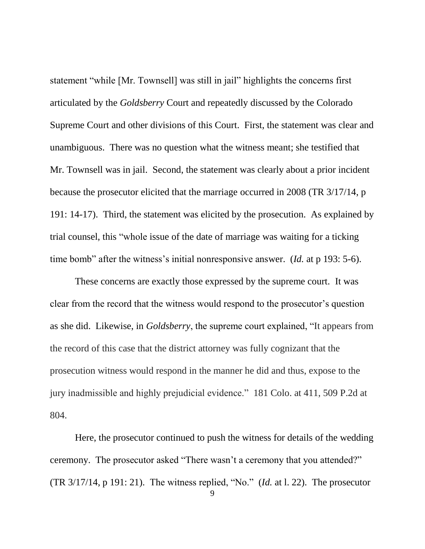statement "while [Mr. Townsell] was still in jail" highlights the concerns first articulated by the *Goldsberry* Court and repeatedly discussed by the Colorado Supreme Court and other divisions of this Court. First, the statement was clear and unambiguous. There was no question what the witness meant; she testified that Mr. Townsell was in jail. Second, the statement was clearly about a prior incident because the prosecutor elicited that the marriage occurred in 2008 (TR 3/17/14, p 191: 14-17). Third, the statement was elicited by the prosecution. As explained by trial counsel, this "whole issue of the date of marriage was waiting for a ticking time bomb" after the witness's initial nonresponsive answer. (*Id.* at p 193: 5-6).

These concerns are exactly those expressed by the supreme court. It was clear from the record that the witness would respond to the prosecutor's question as she did. Likewise, in *Goldsberry*, the supreme court explained, "It appears from the record of this case that the district attorney was fully cognizant that the prosecution witness would respond in the manner he did and thus, expose to the jury inadmissible and highly prejudicial evidence." 181 Colo. at 411, 509 P.2d at 804.

Here, the prosecutor continued to push the witness for details of the wedding ceremony. The prosecutor asked "There wasn't a ceremony that you attended?" (TR 3/17/14, p 191: 21). The witness replied, "No." (*Id.* at l. 22). The prosecutor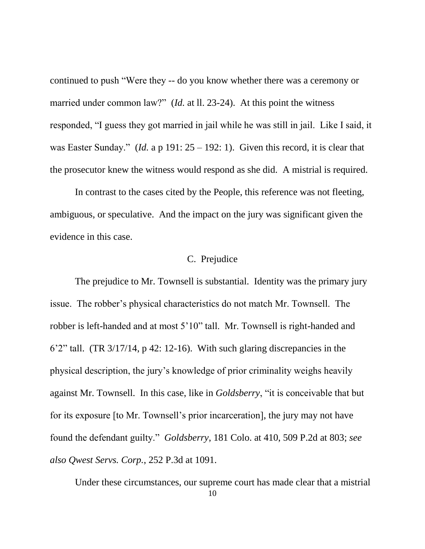continued to push "Were they -- do you know whether there was a ceremony or married under common law?" (*Id.* at ll. 23-24). At this point the witness responded, "I guess they got married in jail while he was still in jail. Like I said, it was Easter Sunday." (*Id.* a p 191:  $25 - 192$ : 1). Given this record, it is clear that the prosecutor knew the witness would respond as she did. A mistrial is required.

In contrast to the cases cited by the People, this reference was not fleeting, ambiguous, or speculative. And the impact on the jury was significant given the evidence in this case.

### C. Prejudice

The prejudice to Mr. Townsell is substantial. Identity was the primary jury issue. The robber's physical characteristics do not match Mr. Townsell. The robber is left-handed and at most 5'10" tall. Mr. Townsell is right-handed and  $6'2''$  tall. (TR  $3/17/14$ , p 42: 12-16). With such glaring discrepancies in the physical description, the jury's knowledge of prior criminality weighs heavily against Mr. Townsell. In this case, like in *Goldsberry*, "it is conceivable that but for its exposure [to Mr. Townsell's prior incarceration], the jury may not have found the defendant guilty." *Goldsberry*, 181 Colo. at 410, 509 P.2d at 803; *see also Qwest Servs. Corp.*, 252 P.3d at 1091.

10 Under these circumstances, our supreme court has made clear that a mistrial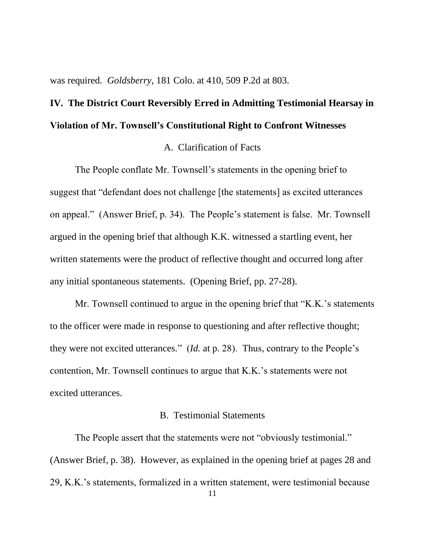was required. *Goldsberry*, 181 Colo. at 410, 509 P.2d at 803.

## **IV. The District Court Reversibly Erred in Admitting Testimonial Hearsay in Violation of Mr. Townsell's Constitutional Right to Confront Witnesses**

### A. Clarification of Facts

The People conflate Mr. Townsell's statements in the opening brief to suggest that "defendant does not challenge [the statements] as excited utterances on appeal." (Answer Brief, p. 34). The People's statement is false. Mr. Townsell argued in the opening brief that although K.K. witnessed a startling event, her written statements were the product of reflective thought and occurred long after any initial spontaneous statements. (Opening Brief, pp. 27-28).

Mr. Townsell continued to argue in the opening brief that "K.K.'s statements to the officer were made in response to questioning and after reflective thought; they were not excited utterances." (*Id.* at p. 28). Thus, contrary to the People's contention, Mr. Townsell continues to argue that K.K.'s statements were not excited utterances.

### B. Testimonial Statements

The People assert that the statements were not "obviously testimonial." (Answer Brief, p. 38). However, as explained in the opening brief at pages 28 and 29, K.K.'s statements, formalized in a written statement, were testimonial because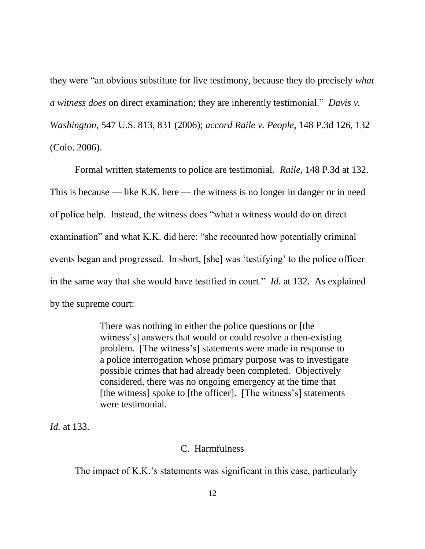they were "an obvious substitute for live testimony, because they do precisely *what a witness does* on direct examination; they are inherently testimonial." *Davis v. Washington*, 547 U.S. 813, 831 (2006); *accord Raile v. People*, 148 P.3d 126, 132 (Colo. 2006).

Formal written statements to police are testimonial. *Raile*, 148 P.3d at 132. This is because — like K.K. here — the witness is no longer in danger or in need of police help. Instead, the witness does "what a witness would do on direct examination" and what K.K. did here: "she recounted how potentially criminal events began and progressed. In short, [she] was 'testifying' to the police officer in the same way that she would have testified in court." *Id.* at 132. As explained by the supreme court:

> There was nothing in either the police questions or [the witness's] answers that would or could resolve a then-existing problem. [The witness's] statements were made in response to a police interrogation whose primary purpose was to investigate possible crimes that had already been completed. Objectively considered, there was no ongoing emergency at the time that [the witness] spoke to [the officer]. [The witness's] statements were testimonial.

*Id.* at 133.

### C. Harmfulness

The impact of K.K.'s statements was significant in this case, particularly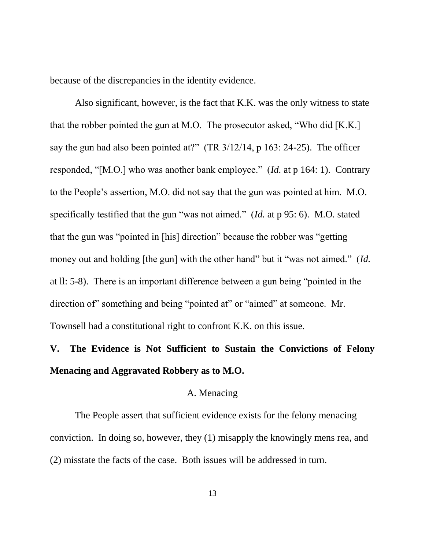because of the discrepancies in the identity evidence.

Also significant, however, is the fact that K.K. was the only witness to state that the robber pointed the gun at M.O. The prosecutor asked, "Who did [K.K.] say the gun had also been pointed at?" (TR 3/12/14, p 163: 24-25). The officer responded, "[M.O.] who was another bank employee." (*Id.* at p 164: 1). Contrary to the People's assertion, M.O. did not say that the gun was pointed at him. M.O. specifically testified that the gun "was not aimed." (*Id.* at p 95: 6). M.O. stated that the gun was "pointed in [his] direction" because the robber was "getting money out and holding [the gun] with the other hand" but it "was not aimed." (*Id.* at ll: 5-8). There is an important difference between a gun being "pointed in the direction of" something and being "pointed at" or "aimed" at someone. Mr. Townsell had a constitutional right to confront K.K. on this issue.

### **V. The Evidence is Not Sufficient to Sustain the Convictions of Felony Menacing and Aggravated Robbery as to M.O.**

### A. Menacing

The People assert that sufficient evidence exists for the felony menacing conviction. In doing so, however, they (1) misapply the knowingly mens rea, and (2) misstate the facts of the case. Both issues will be addressed in turn.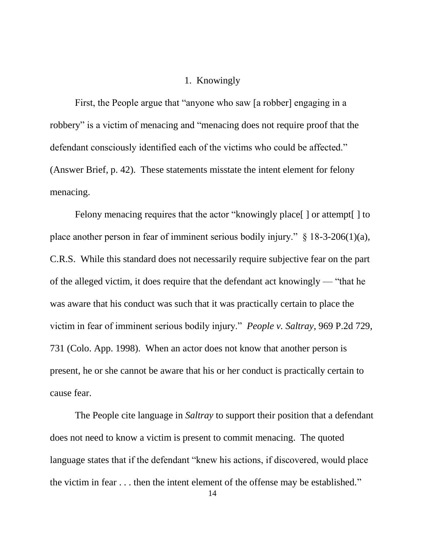### 1. Knowingly

First, the People argue that "anyone who saw [a robber] engaging in a robbery" is a victim of menacing and "menacing does not require proof that the defendant consciously identified each of the victims who could be affected." (Answer Brief, p. 42). These statements misstate the intent element for felony menacing.

Felony menacing requires that the actor "knowingly place[] or attempt[] to place another person in fear of imminent serious bodily injury." § 18-3-206(1)(a), C.R.S. While this standard does not necessarily require subjective fear on the part of the alleged victim, it does require that the defendant act knowingly — "that he was aware that his conduct was such that it was practically certain to place the victim in fear of imminent serious bodily injury." *People v. Saltray*, 969 P.2d 729, 731 (Colo. App. 1998). When an actor does not know that another person is present, he or she cannot be aware that his or her conduct is practically certain to cause fear.

The People cite language in *Saltray* to support their position that a defendant does not need to know a victim is present to commit menacing. The quoted language states that if the defendant "knew his actions, if discovered, would place the victim in fear . . . then the intent element of the offense may be established."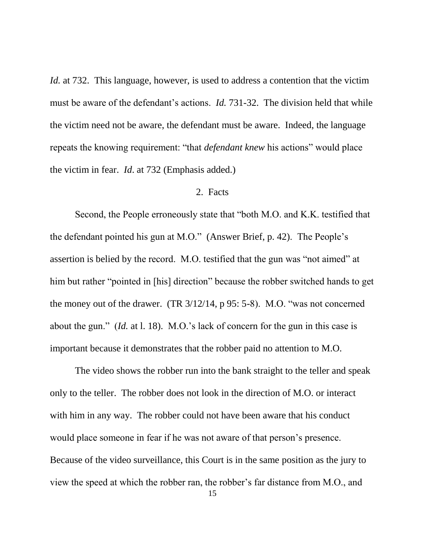*Id.* at 732. This language, however, is used to address a contention that the victim must be aware of the defendant's actions. *Id.* 731-32. The division held that while the victim need not be aware, the defendant must be aware. Indeed, the language repeats the knowing requirement: "that *defendant knew* his actions" would place the victim in fear. *Id*. at 732 (Emphasis added.)

### 2. Facts

Second, the People erroneously state that "both M.O. and K.K. testified that the defendant pointed his gun at M.O." (Answer Brief, p. 42). The People's assertion is belied by the record. M.O. testified that the gun was "not aimed" at him but rather "pointed in [his] direction" because the robber switched hands to get the money out of the drawer. (TR 3/12/14, p 95: 5-8). M.O. "was not concerned about the gun." (*Id.* at l. 18). M.O.'s lack of concern for the gun in this case is important because it demonstrates that the robber paid no attention to M.O.

The video shows the robber run into the bank straight to the teller and speak only to the teller. The robber does not look in the direction of M.O. or interact with him in any way. The robber could not have been aware that his conduct would place someone in fear if he was not aware of that person's presence. Because of the video surveillance, this Court is in the same position as the jury to view the speed at which the robber ran, the robber's far distance from M.O., and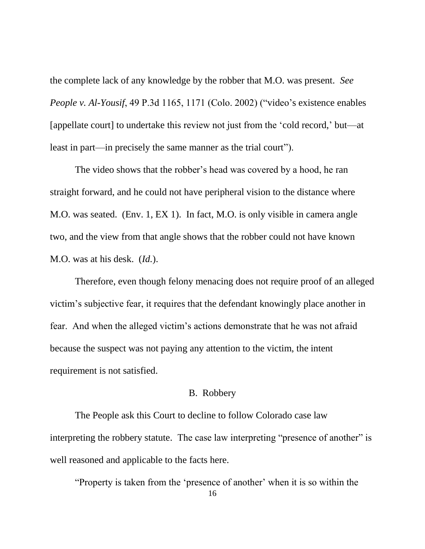the complete lack of any knowledge by the robber that M.O. was present. *See People v. Al-Yousif*, 49 P.3d 1165, 1171 (Colo. 2002) ("video's existence enables [appellate court] to undertake this review not just from the 'cold record,' but—at least in part—in precisely the same manner as the trial court").

The video shows that the robber's head was covered by a hood, he ran straight forward, and he could not have peripheral vision to the distance where M.O. was seated. (Env. 1, EX 1). In fact, M.O. is only visible in camera angle two, and the view from that angle shows that the robber could not have known M.O. was at his desk. (*Id.*).

Therefore, even though felony menacing does not require proof of an alleged victim's subjective fear, it requires that the defendant knowingly place another in fear. And when the alleged victim's actions demonstrate that he was not afraid because the suspect was not paying any attention to the victim, the intent requirement is not satisfied.

### B. Robbery

The People ask this Court to decline to follow Colorado case law interpreting the robbery statute. The case law interpreting "presence of another" is well reasoned and applicable to the facts here.

16 "Property is taken from the 'presence of another' when it is so within the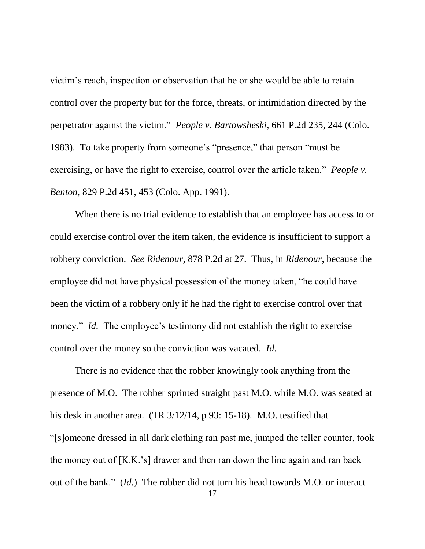victim's reach, inspection or observation that he or she would be able to retain control over the property but for the force, threats, or intimidation directed by the perpetrator against the victim." *People v. Bartowsheski*, 661 P.2d 235, 244 (Colo. 1983). To take property from someone's "presence," that person "must be exercising, or have the right to exercise, control over the article taken." *People v. Benton*, 829 P.2d 451, 453 (Colo. App. 1991).

When there is no trial evidence to establish that an employee has access to or could exercise control over the item taken, the evidence is insufficient to support a robbery conviction. *See Ridenour*, 878 P.2d at 27. Thus, in *Ridenour*, because the employee did not have physical possession of the money taken, "he could have been the victim of a robbery only if he had the right to exercise control over that money." *Id.* The employee's testimony did not establish the right to exercise control over the money so the conviction was vacated. *Id.*

There is no evidence that the robber knowingly took anything from the presence of M.O. The robber sprinted straight past M.O. while M.O. was seated at his desk in another area. (TR 3/12/14, p 93: 15-18). M.O. testified that "[s]omeone dressed in all dark clothing ran past me, jumped the teller counter, took the money out of [K.K.'s] drawer and then ran down the line again and ran back out of the bank." (*Id.*) The robber did not turn his head towards M.O. or interact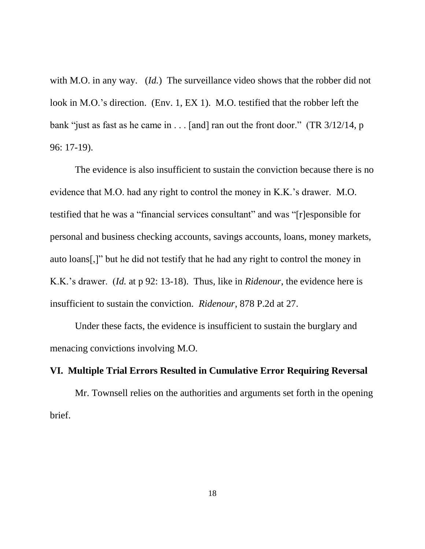with M.O. in any way. (*Id.*) The surveillance video shows that the robber did not look in M.O.'s direction. (Env. 1, EX 1). M.O. testified that the robber left the bank "just as fast as he came in . . . [and] ran out the front door." (TR 3/12/14, p 96: 17-19).

The evidence is also insufficient to sustain the conviction because there is no evidence that M.O. had any right to control the money in K.K.'s drawer. M.O. testified that he was a "financial services consultant" and was "[r]esponsible for personal and business checking accounts, savings accounts, loans, money markets, auto loans[,]" but he did not testify that he had any right to control the money in K.K.'s drawer. (*Id.* at p 92: 13-18). Thus, like in *Ridenour*, the evidence here is insufficient to sustain the conviction. *Ridenour*, 878 P.2d at 27.

Under these facts, the evidence is insufficient to sustain the burglary and menacing convictions involving M.O.

### **VI. Multiple Trial Errors Resulted in Cumulative Error Requiring Reversal**

Mr. Townsell relies on the authorities and arguments set forth in the opening brief.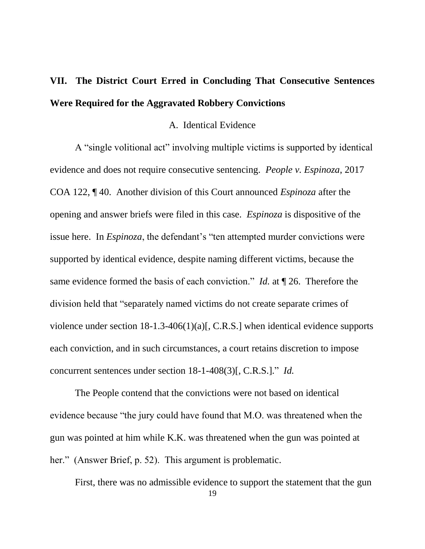## **VII. The District Court Erred in Concluding That Consecutive Sentences Were Required for the Aggravated Robbery Convictions**

### A. Identical Evidence

A "single volitional act" involving multiple victims is supported by identical evidence and does not require consecutive sentencing. *People v. Espinoza*, 2017 COA 122, ¶ 40. Another division of this Court announced *Espinoza* after the opening and answer briefs were filed in this case. *Espinoza* is dispositive of the issue here. In *Espinoza*, the defendant's "ten attempted murder convictions were supported by identical evidence, despite naming different victims, because the same evidence formed the basis of each conviction." *Id.* at ¶ 26. Therefore the division held that "separately named victims do not create separate crimes of violence under section 18-1.3-406(1)(a)[, C.R.S.] when identical evidence supports each conviction, and in such circumstances, a court retains discretion to impose concurrent sentences under section 18-1-408(3)[, C.R.S.]." *Id.*

The People contend that the convictions were not based on identical evidence because "the jury could have found that M.O. was threatened when the gun was pointed at him while K.K. was threatened when the gun was pointed at her." (Answer Brief, p. 52). This argument is problematic.

First, there was no admissible evidence to support the statement that the gun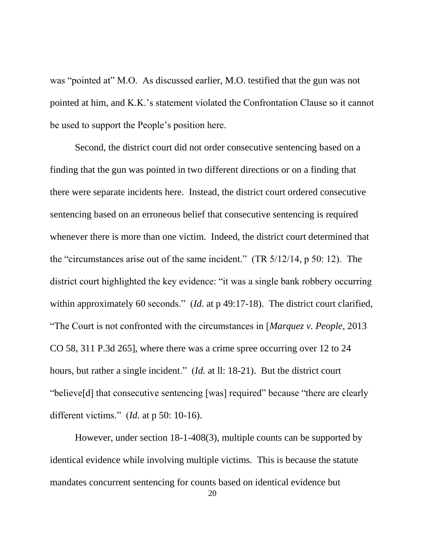was "pointed at" M.O. As discussed earlier, M.O. testified that the gun was not pointed at him, and K.K.'s statement violated the Confrontation Clause so it cannot be used to support the People's position here.

Second, the district court did not order consecutive sentencing based on a finding that the gun was pointed in two different directions or on a finding that there were separate incidents here. Instead, the district court ordered consecutive sentencing based on an erroneous belief that consecutive sentencing is required whenever there is more than one victim. Indeed, the district court determined that the "circumstances arise out of the same incident." (TR 5/12/14, p 50: 12). The district court highlighted the key evidence: "it was a single bank robbery occurring within approximately 60 seconds." (*Id.* at p 49:17-18). The district court clarified, "The Court is not confronted with the circumstances in [*Marquez v. People*, 2013 CO 58, 311 P.3d 265], where there was a crime spree occurring over 12 to 24 hours, but rather a single incident." (*Id.* at ll: 18-21). But the district court "believe[d] that consecutive sentencing [was] required" because "there are clearly different victims." (*Id.* at p 50: 10-16).

However, under section 18-1-408(3), multiple counts can be supported by identical evidence while involving multiple victims. This is because the statute mandates concurrent sentencing for counts based on identical evidence but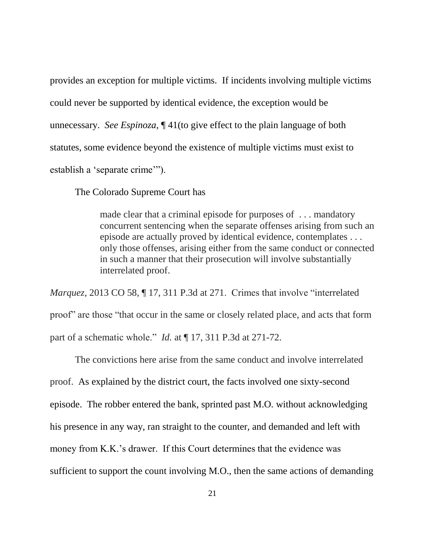provides an exception for multiple victims. If incidents involving multiple victims could never be supported by identical evidence, the exception would be unnecessary. *See Espinoza*, ¶ 41(to give effect to the plain language of both statutes, some evidence beyond the existence of multiple victims must exist to establish a 'separate crime'").

The Colorado Supreme Court has

made clear that a criminal episode for purposes of . . . mandatory concurrent sentencing when the separate offenses arising from such an episode are actually proved by identical evidence, contemplates . . . only those offenses, arising either from the same conduct or connected in such a manner that their prosecution will involve substantially interrelated proof.

*Marquez*, 2013 CO 58, ¶ 17, 311 P.3d at 271. Crimes that involve "interrelated proof" are those "that occur in the same or closely related place, and acts that form part of a schematic whole." *Id.* at ¶ 17, 311 P.3d at 271-72.

The convictions here arise from the same conduct and involve interrelated proof. As explained by the district court, the facts involved one sixty-second episode. The robber entered the bank, sprinted past M.O. without acknowledging his presence in any way, ran straight to the counter, and demanded and left with money from K.K.'s drawer. If this Court determines that the evidence was sufficient to support the count involving M.O., then the same actions of demanding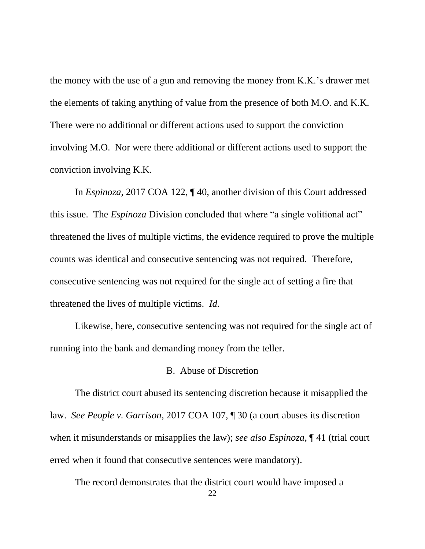the money with the use of a gun and removing the money from K.K.'s drawer met the elements of taking anything of value from the presence of both M.O. and K.K. There were no additional or different actions used to support the conviction involving M.O. Nor were there additional or different actions used to support the conviction involving K.K.

In *Espinoza*, 2017 COA 122, ¶ 40, another division of this Court addressed this issue. The *Espinoza* Division concluded that where "a single volitional act" threatened the lives of multiple victims, the evidence required to prove the multiple counts was identical and consecutive sentencing was not required. Therefore, consecutive sentencing was not required for the single act of setting a fire that threatened the lives of multiple victims. *Id.*

Likewise, here, consecutive sentencing was not required for the single act of running into the bank and demanding money from the teller.

### B. Abuse of Discretion

The district court abused its sentencing discretion because it misapplied the law. *See People v. Garrison*, 2017 COA 107, ¶ 30 (a court abuses its discretion when it misunderstands or misapplies the law); *see also Espinoza*, ¶ 41 (trial court erred when it found that consecutive sentences were mandatory).

The record demonstrates that the district court would have imposed a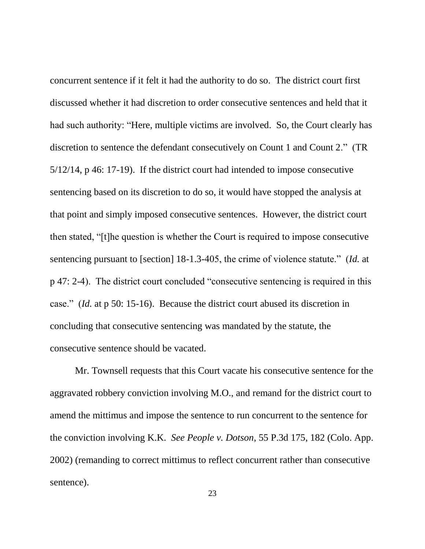concurrent sentence if it felt it had the authority to do so. The district court first discussed whether it had discretion to order consecutive sentences and held that it had such authority: "Here, multiple victims are involved. So, the Court clearly has discretion to sentence the defendant consecutively on Count 1 and Count 2." (TR 5/12/14, p 46: 17-19). If the district court had intended to impose consecutive sentencing based on its discretion to do so, it would have stopped the analysis at that point and simply imposed consecutive sentences. However, the district court then stated, "[t]he question is whether the Court is required to impose consecutive sentencing pursuant to [section] 18-1.3-405, the crime of violence statute." (*Id.* at p 47: 2-4). The district court concluded "consecutive sentencing is required in this case." (*Id.* at p 50: 15-16). Because the district court abused its discretion in concluding that consecutive sentencing was mandated by the statute, the consecutive sentence should be vacated.

Mr. Townsell requests that this Court vacate his consecutive sentence for the aggravated robbery conviction involving M.O., and remand for the district court to amend the mittimus and impose the sentence to run concurrent to the sentence for the conviction involving K.K. *See People v. Dotson*, 55 P.3d 175, 182 (Colo. App. 2002) (remanding to correct mittimus to reflect concurrent rather than consecutive sentence).